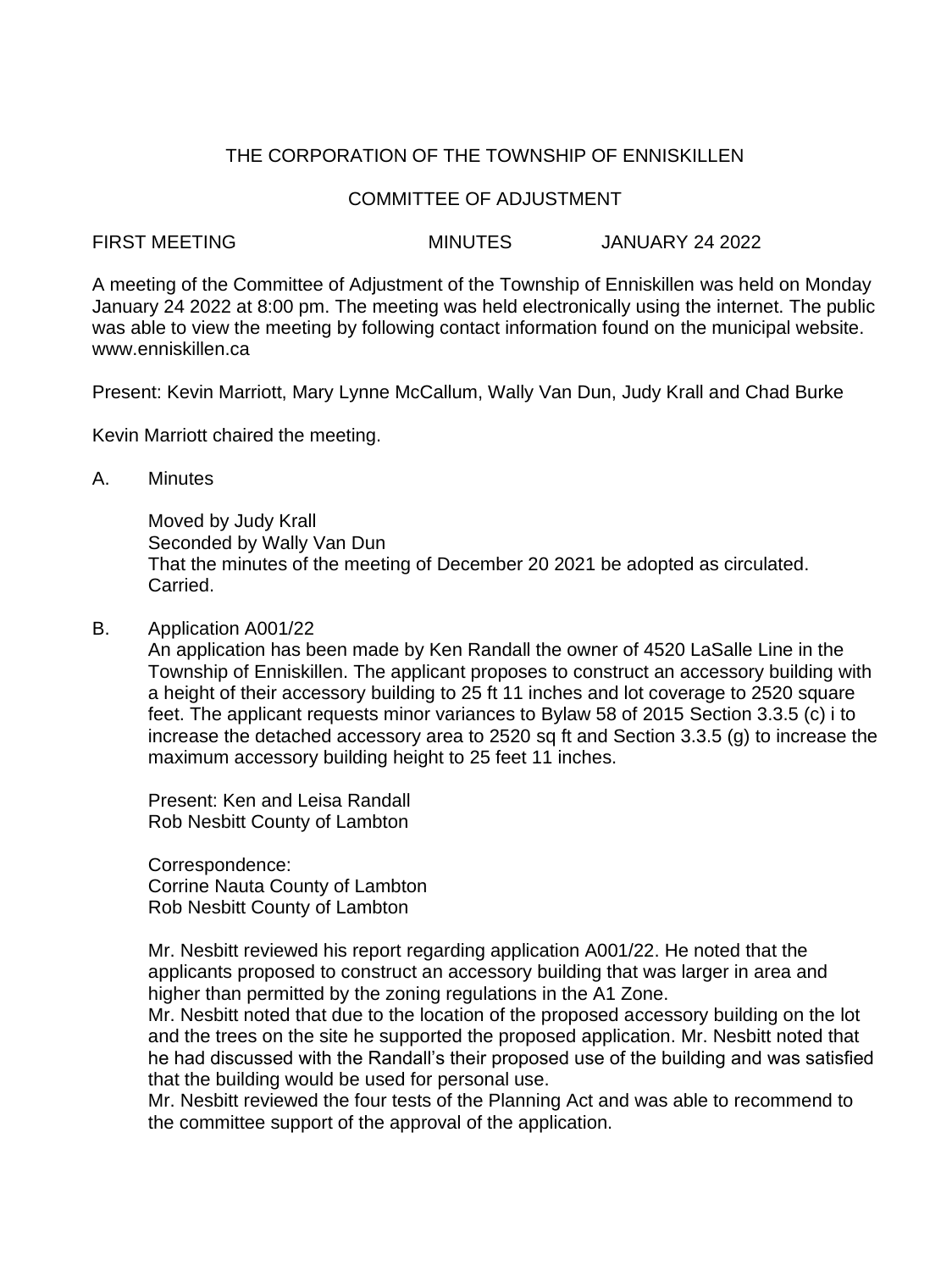# THE CORPORATION OF THE TOWNSHIP OF ENNISKILLEN

### COMMITTEE OF ADJUSTMENT

#### FIRST MEETING MINUTES JANUARY 24 2022

A meeting of the Committee of Adjustment of the Township of Enniskillen was held on Monday January 24 2022 at 8:00 pm. The meeting was held electronically using the internet. The public was able to view the meeting by following contact information found on the municipal website. www.enniskillen.ca

Present: Kevin Marriott, Mary Lynne McCallum, Wally Van Dun, Judy Krall and Chad Burke

Kevin Marriott chaired the meeting.

A. Minutes

Moved by Judy Krall Seconded by Wally Van Dun That the minutes of the meeting of December 20 2021 be adopted as circulated. Carried.

B. Application A001/22

An application has been made by Ken Randall the owner of 4520 LaSalle Line in the Township of Enniskillen. The applicant proposes to construct an accessory building with a height of their accessory building to 25 ft 11 inches and lot coverage to 2520 square feet. The applicant requests minor variances to Bylaw 58 of 2015 Section 3.3.5 (c) i to increase the detached accessory area to 2520 sq ft and Section 3.3.5 (g) to increase the maximum accessory building height to 25 feet 11 inches.

Present: Ken and Leisa Randall Rob Nesbitt County of Lambton

Correspondence: Corrine Nauta County of Lambton Rob Nesbitt County of Lambton

Mr. Nesbitt reviewed his report regarding application A001/22. He noted that the applicants proposed to construct an accessory building that was larger in area and higher than permitted by the zoning regulations in the A1 Zone.

Mr. Nesbitt noted that due to the location of the proposed accessory building on the lot and the trees on the site he supported the proposed application. Mr. Nesbitt noted that he had discussed with the Randall's their proposed use of the building and was satisfied that the building would be used for personal use.

Mr. Nesbitt reviewed the four tests of the Planning Act and was able to recommend to the committee support of the approval of the application.